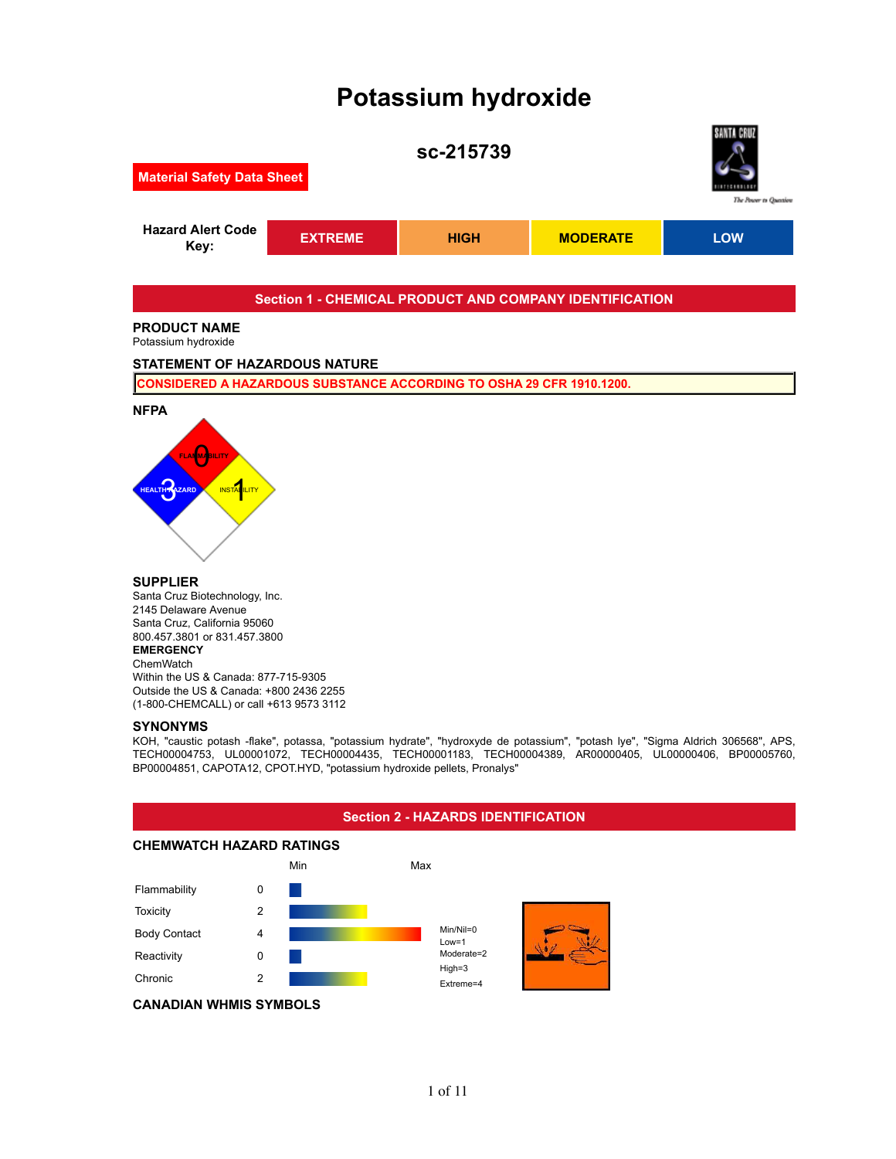# **Potassium hydroxide**



# **SUPPLIER**

Santa Cruz Biotechnology, Inc. 2145 Delaware Avenue Santa Cruz, California 95060 800.457.3801 or 831.457.3800 **EMERGENCY ChemWatch** Within the US & Canada: 877-715-9305 Outside the US & Canada: +800 2436 2255 (1-800-CHEMCALL) or call +613 9573 3112

#### **SYNONYMS**

KOH, "caustic potash -flake", potassa, "potassium hydrate", "hydroxyde de potassium", "potash lye", "Sigma Aldrich 306568", APS, TECH00004753, UL00001072, TECH00004435, TECH00001183, TECH00004389, AR00000405, UL00000406, BP00005760, BP00004851, CAPOTA12, CPOT.HYD, "potassium hydroxide pellets, Pronalys"

#### **Section 2 - HAZARDS IDENTIFICATION CHEMWATCH HAZARD RATINGS** Min Max Flammability 0 Toxicity 2 Body Contact 4 Reactivity 0 Chronic 2 Min/Nil=0 Low=1 Moderate=2 High=3 Extreme=4 **CANADIAN WHMIS SYMBOLS**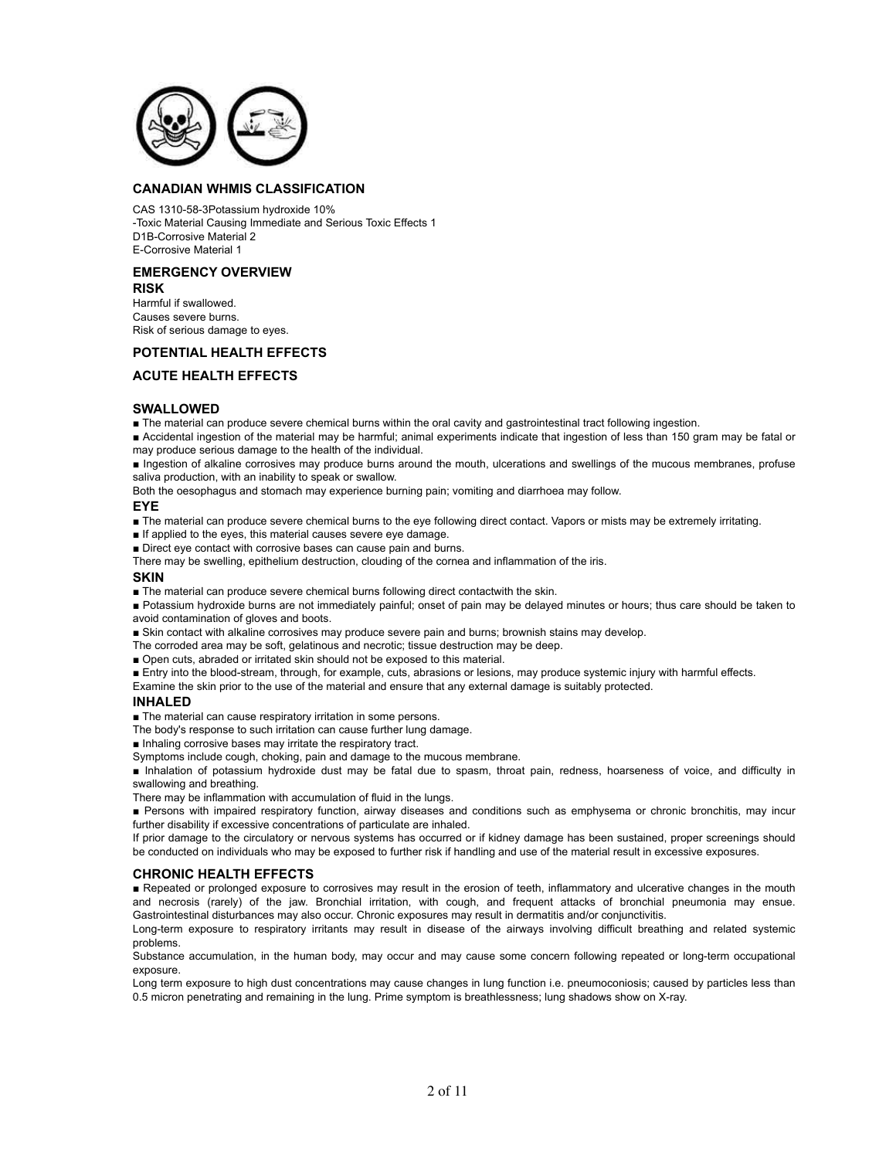

# **CANADIAN WHMIS CLASSIFICATION**

CAS 1310-58-3Potassium hydroxide 10% -Toxic Material Causing Immediate and Serious Toxic Effects 1 D1B-Corrosive Material 2 E-Corrosive Material 1

# **EMERGENCY OVERVIEW**

#### **RISK**

Harmful if swallowed. Causes severe burns. Risk of serious damage to eyes.

# **POTENTIAL HEALTH EFFECTS**

## **ACUTE HEALTH EFFECTS**

#### **SWALLOWED**

■ The material can produce severe chemical burns within the oral cavity and gastrointestinal tract following ingestion.

■ Accidental ingestion of the material may be harmful; animal experiments indicate that ingestion of less than 150 gram may be fatal or may produce serious damage to the health of the individual.

■ Ingestion of alkaline corrosives may produce burns around the mouth, ulcerations and swellings of the mucous membranes, profuse saliva production, with an inability to speak or swallow.

Both the oesophagus and stomach may experience burning pain; vomiting and diarrhoea may follow.

#### **EYE**

■ The material can produce severe chemical burns to the eye following direct contact. Vapors or mists may be extremely irritating.

■ If applied to the eyes, this material causes severe eye damage.

■ Direct eye contact with corrosive bases can cause pain and burns.

There may be swelling, epithelium destruction, clouding of the cornea and inflammation of the iris.

#### **SKIN**

■ The material can produce severe chemical burns following direct contactwith the skin.

■ Potassium hydroxide burns are not immediately painful; onset of pain may be delayed minutes or hours; thus care should be taken to avoid contamination of gloves and boots.

■ Skin contact with alkaline corrosives may produce severe pain and burns; brownish stains may develop.

The corroded area may be soft, gelatinous and necrotic; tissue destruction may be deep.

■ Open cuts, abraded or irritated skin should not be exposed to this material.

■ Entry into the blood-stream, through, for example, cuts, abrasions or lesions, may produce systemic injury with harmful effects. Examine the skin prior to the use of the material and ensure that any external damage is suitably protected.

# **INHALED**

■ The material can cause respiratory irritation in some persons.

The body's response to such irritation can cause further lung damage.

■ Inhaling corrosive bases may irritate the respiratory tract.

Symptoms include cough, choking, pain and damage to the mucous membrane.

■ Inhalation of potassium hydroxide dust may be fatal due to spasm, throat pain, redness, hoarseness of voice, and difficulty in swallowing and breathing.

There may be inflammation with accumulation of fluid in the lungs.

■ Persons with impaired respiratory function, airway diseases and conditions such as emphysema or chronic bronchitis, may incur further disability if excessive concentrations of particulate are inhaled.

If prior damage to the circulatory or nervous systems has occurred or if kidney damage has been sustained, proper screenings should be conducted on individuals who may be exposed to further risk if handling and use of the material result in excessive exposures.

#### **CHRONIC HEALTH EFFECTS**

■ Repeated or prolonged exposure to corrosives may result in the erosion of teeth, inflammatory and ulcerative changes in the mouth and necrosis (rarely) of the jaw. Bronchial irritation, with cough, and frequent attacks of bronchial pneumonia may ensue. Gastrointestinal disturbances may also occur. Chronic exposures may result in dermatitis and/or conjunctivitis.

Long-term exposure to respiratory irritants may result in disease of the airways involving difficult breathing and related systemic problems.

Substance accumulation, in the human body, may occur and may cause some concern following repeated or long-term occupational exposure.

Long term exposure to high dust concentrations may cause changes in lung function i.e. pneumoconiosis; caused by particles less than 0.5 micron penetrating and remaining in the lung. Prime symptom is breathlessness; lung shadows show on X-ray.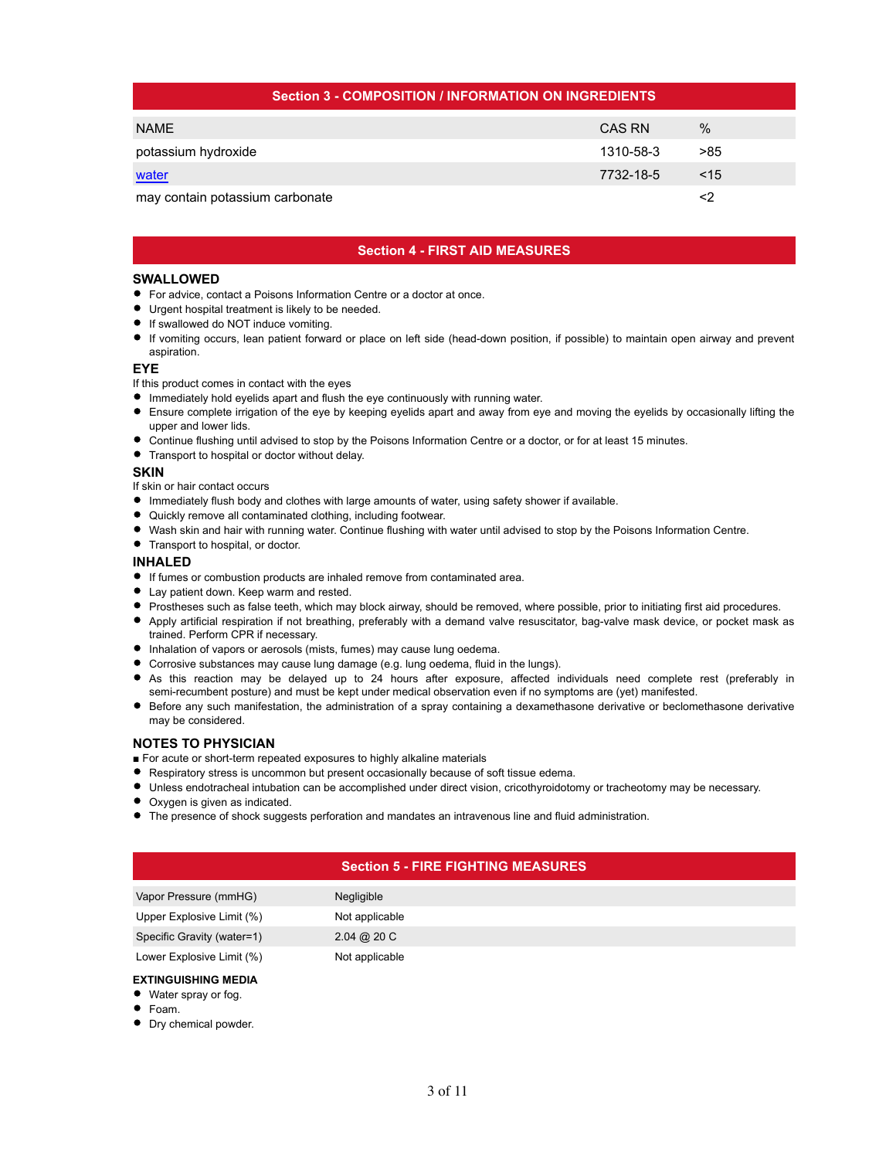| <b>Section 3 - COMPOSITION / INFORMATION ON INGREDIENTS</b> |           |               |  |  |  |  |  |
|-------------------------------------------------------------|-----------|---------------|--|--|--|--|--|
| <b>NAME</b>                                                 | CAS RN    | $\frac{0}{0}$ |  |  |  |  |  |
| potassium hydroxide                                         | 1310-58-3 | >85           |  |  |  |  |  |
| water                                                       | 7732-18-5 | $<$ 15        |  |  |  |  |  |
| may contain potassium carbonate                             |           | <2            |  |  |  |  |  |

# **Section 4 - FIRST AID MEASURES**

#### **SWALLOWED**

- For advice, contact a Poisons Information Centre or a doctor at once.
- Urgent hospital treatment is likely to be needed.
- **If swallowed do NOT induce vomiting.**
- If vomiting occurs, lean patient forward or place on left side (head-down position, if possible) to maintain open airway and prevent aspiration.

#### **EYE**

If this product comes in contact with the eyes

- Immediately hold eyelids apart and flush the eye continuously with running water.
- Ensure complete irrigation of the eye by keeping eyelids apart and away from eye and moving the eyelids by occasionally lifting the upper and lower lids.
- Continue flushing until advised to stop by the Poisons Information Centre or a doctor, or for at least 15 minutes.
- **•** Transport to hospital or doctor without delay.

#### **SKIN**

If skin or hair contact occurs

- Immediately flush body and clothes with large amounts of water, using safety shower if available.
- Quickly remove all contaminated clothing, including footwear.
- Wash skin and hair with running water. Continue flushing with water until advised to stop by the Poisons Information Centre.
- Transport to hospital, or doctor.

## **INHALED**

- If fumes or combustion products are inhaled remove from contaminated area.
- Lay patient down. Keep warm and rested.
- Prostheses such as false teeth, which may block airway, should be removed, where possible, prior to initiating first aid procedures.
- Apply artificial respiration if not breathing, preferably with a demand valve resuscitator, bag-valve mask device, or pocket mask as trained. Perform CPR if necessary.
- $\bullet$  Inhalation of vapors or aerosols (mists, fumes) may cause lung oedema.
- Corrosive substances may cause lung damage (e.g. lung oedema, fluid in the lungs).
- As this reaction may be delayed up to 24 hours after exposure, affected individuals need complete rest (preferably in semi-recumbent posture) and must be kept under medical observation even if no symptoms are (yet) manifested.
- Before any such manifestation, the administration of a spray containing a dexamethasone derivative or beclomethasone derivative may be considered.

# **NOTES TO PHYSICIAN**

- For acute or short-term repeated exposures to highly alkaline materials
- Respiratory stress is uncommon but present occasionally because of soft tissue edema.
- Unless endotracheal intubation can be accomplished under direct vision, cricothyroidotomy or tracheotomy may be necessary.
- Oxygen is given as indicated.
- The presence of shock suggests perforation and mandates an intravenous line and fluid administration.

# **Section 5 - FIRE FIGHTING MEASURES**

| Vapor Pressure (mmHG)      | Negligible                     |
|----------------------------|--------------------------------|
| Upper Explosive Limit (%)  | Not applicable                 |
| Specific Gravity (water=1) | $2.04 \; \textcircled{a}$ 20 C |
| Lower Explosive Limit (%)  | Not applicable                 |

#### **EXTINGUISHING MEDIA**

- Water spray or fog.
- Foam.
- **•** Dry chemical powder.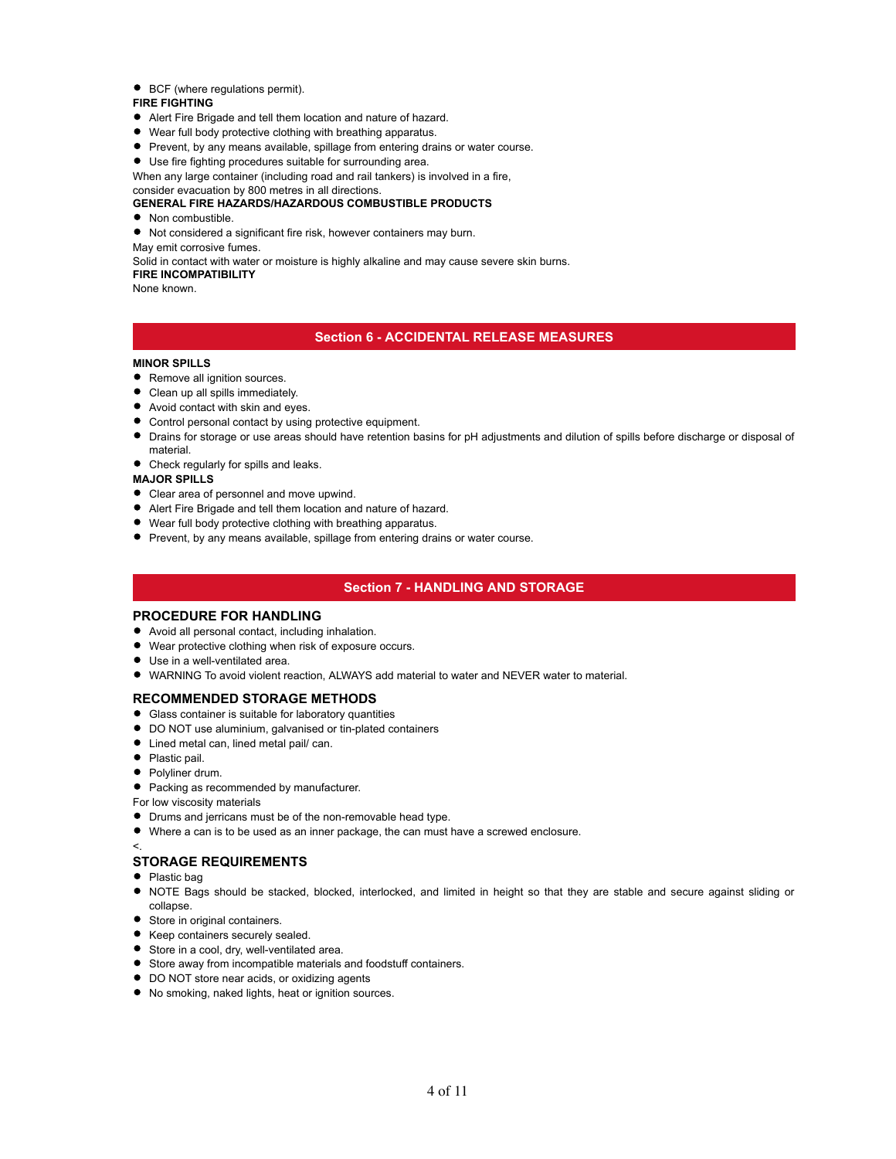#### ● BCF (where regulations permit).

# **FIRE FIGHTING**

- Alert Fire Brigade and tell them location and nature of hazard.
- Wear full body protective clothing with breathing apparatus.
- **Prevent, by any means available, spillage from entering drains or water course.**
- Use fire fighting procedures suitable for surrounding area.

When any large container (including road and rail tankers) is involved in a fire,

# consider evacuation by 800 metres in all directions.

# **GENERAL FIRE HAZARDS/HAZARDOUS COMBUSTIBLE PRODUCTS**

• Non combustible.

Not considered a significant fire risk, however containers may burn.

May emit corrosive fumes.

Solid in contact with water or moisture is highly alkaline and may cause severe skin burns.

# **FIRE INCOMPATIBILITY**

None known.

#### **Section 6 - ACCIDENTAL RELEASE MEASURES**

#### **MINOR SPILLS**

- Remove all ignition sources.
- Clean up all spills immediately.
- Avoid contact with skin and eyes.
- Control personal contact by using protective equipment.
- Drains for storage or use areas should have retention basins for pH adjustments and dilution of spills before discharge or disposal of material.
- Check regularly for spills and leaks.

#### **MAJOR SPILLS**

- Clear area of personnel and move upwind.
- Alert Fire Brigade and tell them location and nature of hazard.
- Wear full body protective clothing with breathing apparatus.
- **•** Prevent, by any means available, spillage from entering drains or water course.

# **Section 7 - HANDLING AND STORAGE**

#### **PROCEDURE FOR HANDLING**

- Avoid all personal contact, including inhalation.
- Wear protective clothing when risk of exposure occurs.
- Use in a well-ventilated area.
- WARNING To avoid violent reaction, ALWAYS add material to water and NEVER water to material.

#### **RECOMMENDED STORAGE METHODS**

- Glass container is suitable for laboratory quantities
- DO NOT use aluminium, galvanised or tin-plated containers
- Lined metal can, lined metal pail/ can.
- Plastic pail.
- Polyliner drum.
- Packing as recommended by manufacturer.

For low viscosity materials

- Drums and jerricans must be of the non-removable head type.
- Where a can is to be used as an inner package, the can must have a screwed enclosure.

#### <.

#### **STORAGE REQUIREMENTS**

- Plastic bag
- NOTE Bags should be stacked, blocked, interlocked, and limited in height so that they are stable and secure against sliding or collapse.
- Store in original containers.
- Keep containers securely sealed.
- **Store in a cool, dry, well-ventilated area.**
- Store away from incompatible materials and foodstuff containers.
- **DO NOT store near acids, or oxidizing agents**
- No smoking, naked lights, heat or ignition sources.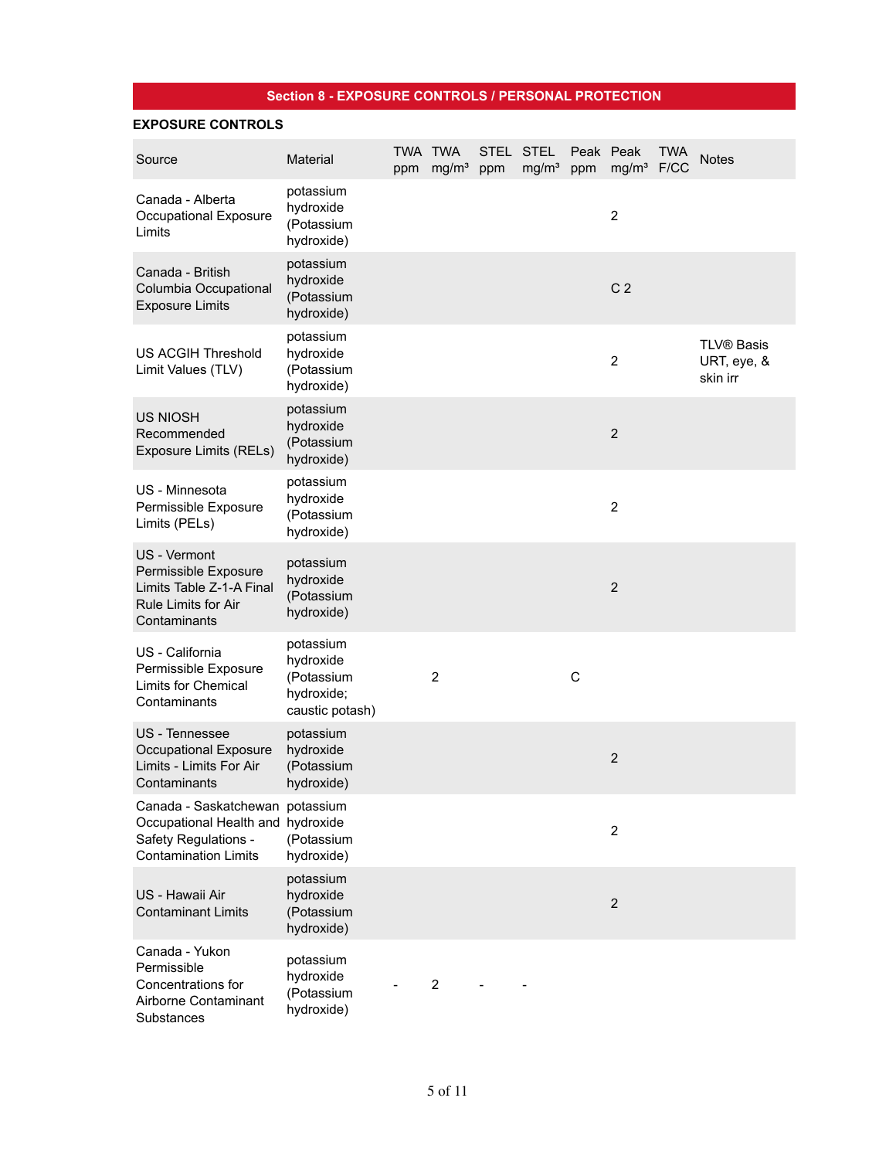# **Section 8 - EXPOSURE CONTROLS / PERSONAL PROTECTION**

# **EXPOSURE CONTROLS**

| Source                                                                                                                      | Material                                                              | TWA TWA | ppm mg/m <sup>3</sup> | ppm | STEL STEL<br>mg/m <sup>3</sup> | ppm | Peak Peak<br>mg/m <sup>3</sup> F/CC | <b>TWA</b> | <b>Notes</b>                                 |
|-----------------------------------------------------------------------------------------------------------------------------|-----------------------------------------------------------------------|---------|-----------------------|-----|--------------------------------|-----|-------------------------------------|------------|----------------------------------------------|
| Canada - Alberta<br>Occupational Exposure<br>Limits                                                                         | potassium<br>hydroxide<br>(Potassium<br>hydroxide)                    |         |                       |     |                                |     | $\overline{2}$                      |            |                                              |
| Canada - British<br>Columbia Occupational<br><b>Exposure Limits</b>                                                         | potassium<br>hydroxide<br>(Potassium<br>hydroxide)                    |         |                       |     |                                |     | C <sub>2</sub>                      |            |                                              |
| <b>US ACGIH Threshold</b><br>Limit Values (TLV)                                                                             | potassium<br>hydroxide<br>(Potassium<br>hydroxide)                    |         |                       |     |                                |     | $\overline{2}$                      |            | <b>TLV® Basis</b><br>URT, eye, &<br>skin irr |
| <b>US NIOSH</b><br>Recommended<br><b>Exposure Limits (RELs)</b>                                                             | potassium<br>hydroxide<br>(Potassium<br>hydroxide)                    |         |                       |     |                                |     | $\overline{2}$                      |            |                                              |
| US - Minnesota<br>Permissible Exposure<br>Limits (PELs)                                                                     | potassium<br>hydroxide<br>(Potassium<br>hydroxide)                    |         |                       |     |                                |     | $\overline{2}$                      |            |                                              |
| US - Vermont<br>Permissible Exposure<br>Limits Table Z-1-A Final<br><b>Rule Limits for Air</b><br>Contaminants              | potassium<br>hydroxide<br>(Potassium<br>hydroxide)                    |         |                       |     |                                |     | $\overline{2}$                      |            |                                              |
| US - California<br>Permissible Exposure<br><b>Limits for Chemical</b><br>Contaminants                                       | potassium<br>hydroxide<br>(Potassium<br>hydroxide;<br>caustic potash) |         | 2                     |     |                                | C   |                                     |            |                                              |
| US - Tennessee<br>Occupational Exposure<br>Limits - Limits For Air<br>Contaminants                                          | potassium<br>hydroxide<br>(Potassium<br>hydroxide)                    |         |                       |     |                                |     | $\overline{2}$                      |            |                                              |
| Canada - Saskatchewan potassium<br>Occupational Health and hydroxide<br>Safety Regulations -<br><b>Contamination Limits</b> | (Potassium<br>hydroxide)                                              |         |                       |     |                                |     | $\overline{2}$                      |            |                                              |
| US - Hawaii Air<br><b>Contaminant Limits</b>                                                                                | potassium<br>hydroxide<br>(Potassium<br>hydroxide)                    |         |                       |     |                                |     | $\overline{2}$                      |            |                                              |
| Canada - Yukon<br>Permissible<br>Concentrations for<br>Airborne Contaminant<br>Substances                                   | potassium<br>hydroxide<br>(Potassium<br>hydroxide)                    |         | $\overline{c}$        |     |                                |     |                                     |            |                                              |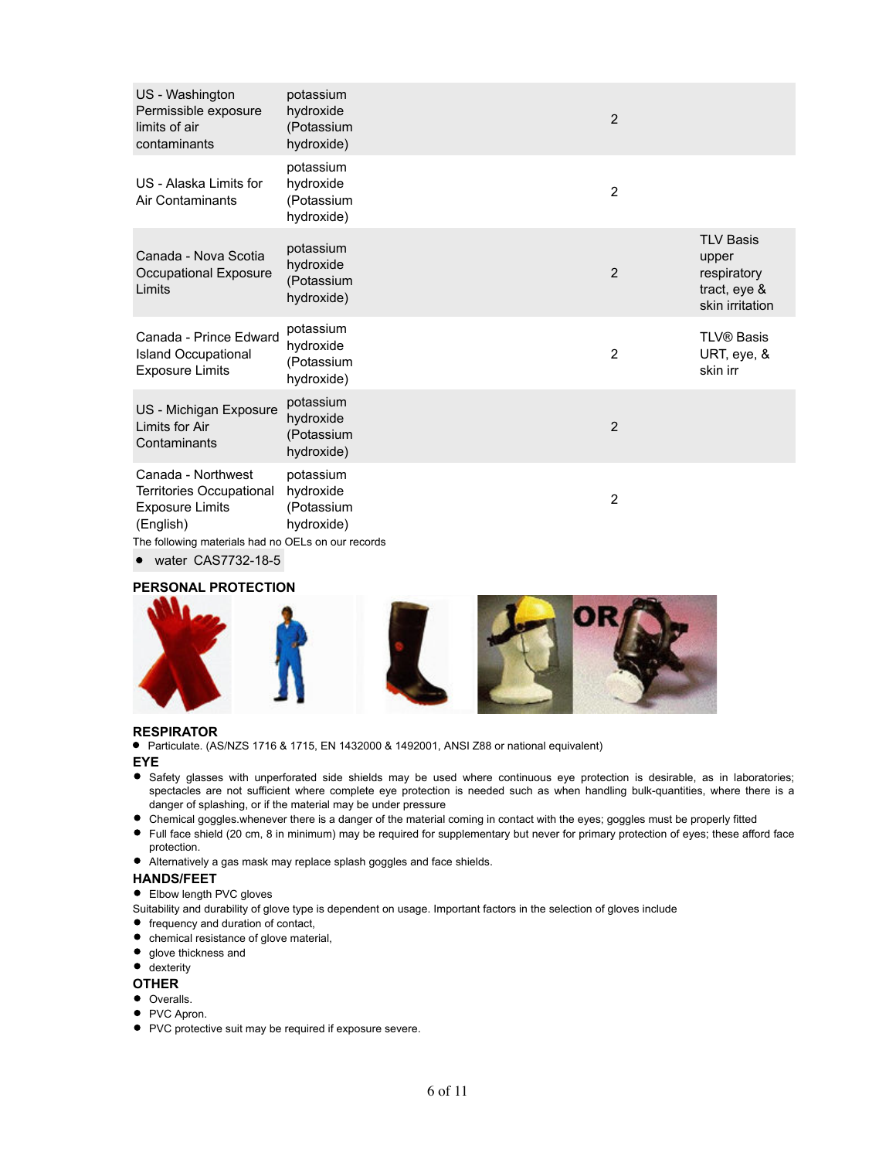| US - Washington<br>Permissible exposure<br>limits of air<br>contaminants                   | potassium<br>hydroxide<br>(Potassium<br>hydroxide)                | $\overline{2}$ |                                                                             |
|--------------------------------------------------------------------------------------------|-------------------------------------------------------------------|----------------|-----------------------------------------------------------------------------|
| US - Alaska Limits for<br>Air Contaminants                                                 | potassium<br>hydroxide<br>(Potassium<br>hydroxide)                | 2              |                                                                             |
| Canada - Nova Scotia<br>Occupational Exposure<br>Limits                                    | potassium<br>hydroxide<br>(Potassium<br>hydroxide)                | $\overline{2}$ | <b>TLV Basis</b><br>upper<br>respiratory<br>tract, eye &<br>skin irritation |
| Canada - Prince Edward<br><b>Island Occupational</b><br><b>Exposure Limits</b>             | potassium<br>hydroxide<br>(Potassium<br>hydroxide)                | $\overline{2}$ | <b>TLV® Basis</b><br>URT, eye, &<br>skin irr                                |
| US - Michigan Exposure<br>Limits for Air<br>Contaminants                                   | potassium<br>hydroxide<br>(Potassium<br>hydroxide)                | $\overline{2}$ |                                                                             |
| Canada - Northwest<br>Territories Occupational<br><b>Exposure Limits</b><br>(English)<br>. | potassium<br>hydroxide<br>(Potassium<br>hydroxide)<br>$\sim$ $-1$ | $\overline{c}$ |                                                                             |

The following materials had no OELs on our records

• water CAS7732-18-5

# **PERSONAL PROTECTION**



## **RESPIRATOR**

Particulate. (AS/NZS 1716 & 1715, EN 1432000 & 1492001, ANSI Z88 or national equivalent)

## **EYE**

- Safety glasses with unperforated side shields may be used where continuous eye protection is desirable, as in laboratories; spectacles are not sufficient where complete eye protection is needed such as when handling bulk-quantities, where there is a danger of splashing, or if the material may be under pressure
- Chemical goggles.whenever there is a danger of the material coming in contact with the eyes; goggles must be properly fitted
- Full face shield (20 cm, 8 in minimum) may be required for supplementary but never for primary protection of eyes; these afford face protection.
- Alternatively a gas mask may replace splash goggles and face shields.

#### **HANDS/FEET**

• Elbow length PVC gloves

- Suitability and durability of glove type is dependent on usage. Important factors in the selection of gloves include
- frequency and duration of contact,
- chemical resistance of glove material,
- $\bullet$  glove thickness and

# **e** dexterity

# **OTHER**

- Overalls.
- PVC Apron.
- PVC protective suit may be required if exposure severe.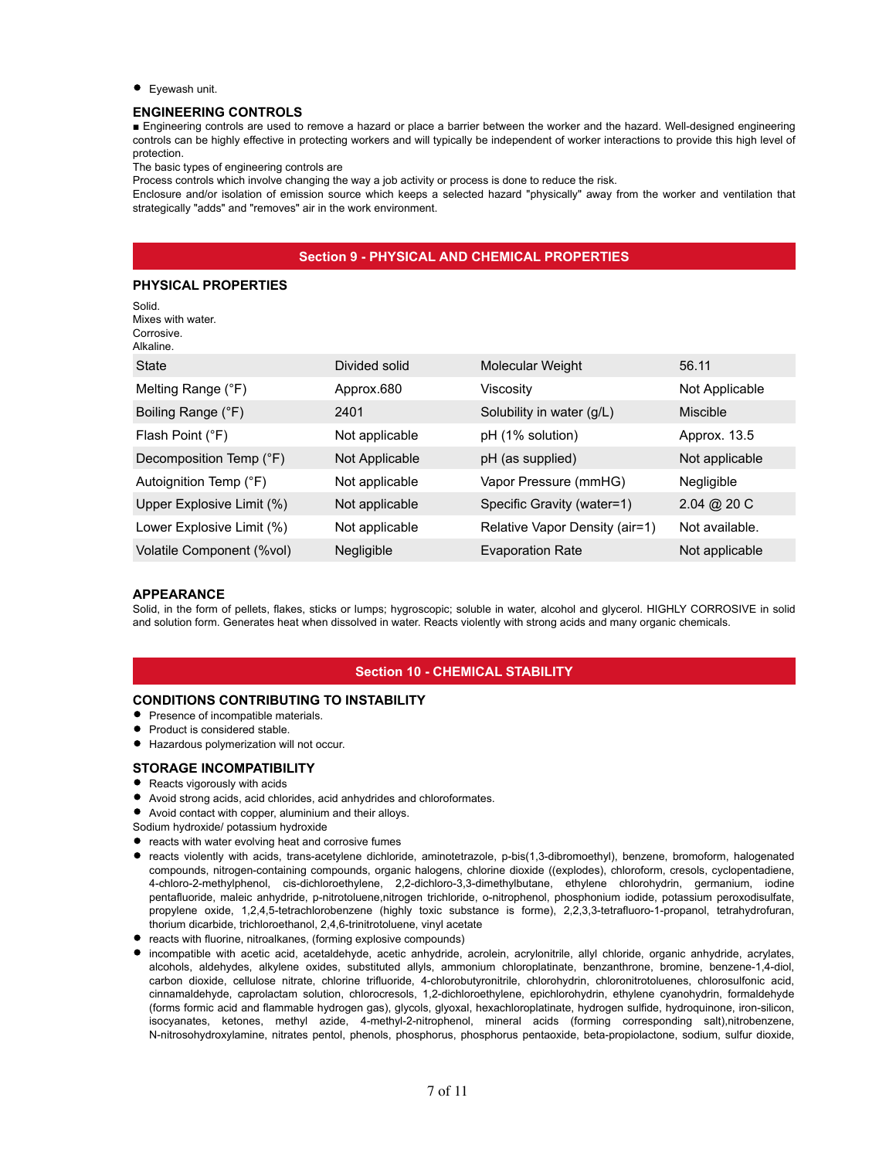**•** Eyewash unit.

#### **ENGINEERING CONTROLS**

■ Engineering controls are used to remove a hazard or place a barrier between the worker and the hazard. Well-designed engineering controls can be highly effective in protecting workers and will typically be independent of worker interactions to provide this high level of protection.

The basic types of engineering controls are

Process controls which involve changing the way a job activity or process is done to reduce the risk.

Enclosure and/or isolation of emission source which keeps a selected hazard "physically" away from the worker and ventilation that strategically "adds" and "removes" air in the work environment.

# **Section 9 - PHYSICAL AND CHEMICAL PROPERTIES**

## **PHYSICAL PROPERTIES**

| Solid.<br>Mixes with water.<br>Corrosive.<br>Alkaline. |                |                                |                |
|--------------------------------------------------------|----------------|--------------------------------|----------------|
| State                                                  | Divided solid  | Molecular Weight               | 56.11          |
| Melting Range (°F)                                     | Approx.680     | Viscosity                      | Not Applicable |
| Boiling Range (°F)                                     | 2401           | Solubility in water (g/L)      | Miscible       |
| Flash Point (°F)                                       | Not applicable | pH (1% solution)               | Approx. 13.5   |
| Decomposition Temp (°F)                                | Not Applicable | pH (as supplied)               | Not applicable |
| Autoignition Temp (°F)                                 | Not applicable | Vapor Pressure (mmHG)          | Negligible     |
| Upper Explosive Limit (%)                              | Not applicable | Specific Gravity (water=1)     | $2.04 \& 20 C$ |
| Lower Explosive Limit (%)                              | Not applicable | Relative Vapor Density (air=1) | Not available. |
| Volatile Component (%vol)                              | Negligible     | <b>Evaporation Rate</b>        | Not applicable |

#### **APPEARANCE**

Solid, in the form of pellets, flakes, sticks or lumps; hygroscopic; soluble in water, alcohol and glycerol. HIGHLY CORROSIVE in solid and solution form. Generates heat when dissolved in water. Reacts violently with strong acids and many organic chemicals.

# **Section 10 - CHEMICAL STABILITY**

# **CONDITIONS CONTRIBUTING TO INSTABILITY**

- **•** Presence of incompatible materials.
- **•** Product is considered stable.
- Hazardous polymerization will not occur.
- **STORAGE INCOMPATIBILITY**
- Reacts vigorously with acids
- Avoid strong acids, acid chlorides, acid anhydrides and chloroformates.
- Avoid contact with copper, aluminium and their alloys.
- Sodium hydroxide/ potassium hydroxide
- reacts with water evolving heat and corrosive fumes
- reacts violently with acids, trans-acetylene dichloride, aminotetrazole, p-bis(1,3-dibromoethyl), benzene, bromoform, halogenated compounds, nitrogen-containing compounds, organic halogens, chlorine dioxide ((explodes), chloroform, cresols, cyclopentadiene, 4-chloro-2-methylphenol, cis-dichloroethylene, 2,2-dichloro-3,3-dimethylbutane, ethylene chlorohydrin, germanium, iodine pentafluoride, maleic anhydride, p-nitrotoluene,nitrogen trichloride, o-nitrophenol, phosphonium iodide, potassium peroxodisulfate, propylene oxide, 1,2,4,5-tetrachlorobenzene (highly toxic substance is forme), 2,2,3,3-tetrafluoro-1-propanol, tetrahydrofuran, thorium dicarbide, trichloroethanol, 2,4,6-trinitrotoluene, vinyl acetate
- reacts with fluorine, nitroalkanes, (forming explosive compounds)
- incompatible with acetic acid, acetaldehyde, acetic anhydride, acrolein, acrylonitrile, allyl chloride, organic anhydride, acrylates, alcohols, aldehydes, alkylene oxides, substituted allyls, ammonium chloroplatinate, benzanthrone, bromine, benzene-1,4-diol, carbon dioxide, cellulose nitrate, chlorine trifluoride, 4-chlorobutyronitrile, chlorohydrin, chloronitrotoluenes, chlorosulfonic acid, cinnamaldehyde, caprolactam solution, chlorocresols, 1,2-dichloroethylene, epichlorohydrin, ethylene cyanohydrin, formaldehyde (forms formic acid and flammable hydrogen gas), glycols, glyoxal, hexachloroplatinate, hydrogen sulfide, hydroquinone, iron-silicon, isocyanates, ketones, methyl azide, 4-methyl-2-nitrophenol, mineral acids (forming corresponding salt),nitrobenzene, N-nitrosohydroxylamine, nitrates pentol, phenols, phosphorus, phosphorus pentaoxide, beta-propiolactone, sodium, sulfur dioxide,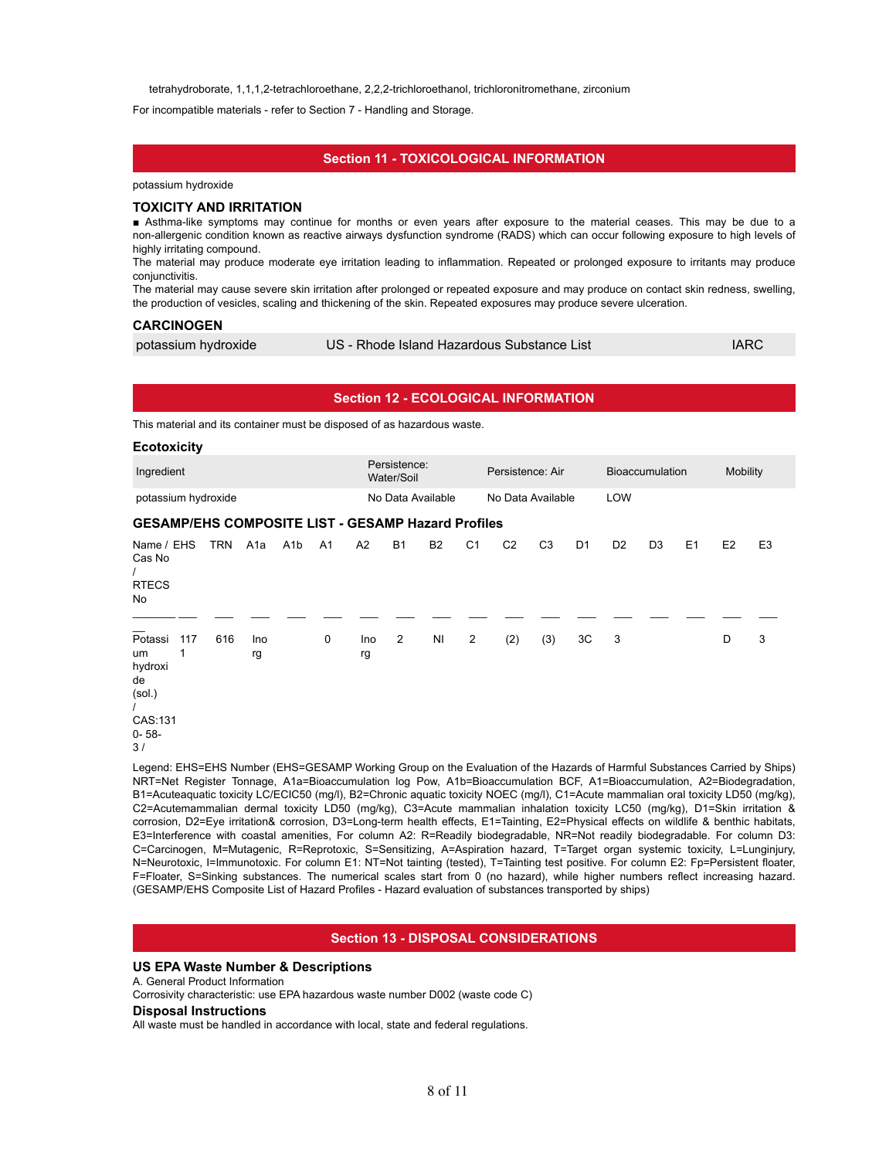tetrahydroborate, 1,1,1,2-tetrachloroethane, 2,2,2-trichloroethanol, trichloronitromethane, zirconium

For incompatible materials - refer to Section 7 - Handling and Storage.

# **Section 11 - TOXICOLOGICAL INFORMATION**

potassium hydroxide

#### **TOXICITY AND IRRITATION**

■ Asthma-like symptoms may continue for months or even years after exposure to the material ceases. This may be due to a non-allergenic condition known as reactive airways dysfunction syndrome (RADS) which can occur following exposure to high levels of highly irritating compound.

The material may produce moderate eye irritation leading to inflammation. Repeated or prolonged exposure to irritants may produce conjunctivitis.

The material may cause severe skin irritation after prolonged or repeated exposure and may produce on contact skin redness, swelling, the production of vesicles, scaling and thickening of the skin. Repeated exposures may produce severe ulceration.

#### **CARCINOGEN**

| potassium hydroxide | US - Rhode Island Hazardous Substance List | <b>IARC</b> |
|---------------------|--------------------------------------------|-------------|
|---------------------|--------------------------------------------|-------------|

|                                                                         |     |            |                  |                  |                |           |                            |                   |                | <b>Section 12 - ECOLOGICAL INFORMATION</b>                                                                               |                |                |                |                        |    |                |                |
|-------------------------------------------------------------------------|-----|------------|------------------|------------------|----------------|-----------|----------------------------|-------------------|----------------|--------------------------------------------------------------------------------------------------------------------------|----------------|----------------|----------------|------------------------|----|----------------|----------------|
| This material and its container must be disposed of as hazardous waste. |     |            |                  |                  |                |           |                            |                   |                |                                                                                                                          |                |                |                |                        |    |                |                |
| <b>Ecotoxicity</b>                                                      |     |            |                  |                  |                |           |                            |                   |                |                                                                                                                          |                |                |                |                        |    |                |                |
| Ingredient                                                              |     |            |                  |                  |                |           | Persistence:<br>Water/Soil |                   |                | Persistence: Air                                                                                                         |                |                |                | <b>Bioaccumulation</b> |    | Mobility       |                |
| potassium hydroxide                                                     |     |            |                  |                  |                |           |                            | No Data Available |                | No Data Available                                                                                                        |                |                | LOW            |                        |    |                |                |
| <b>GESAMP/EHS COMPOSITE LIST - GESAMP Hazard Profiles</b>               |     |            |                  |                  |                |           |                            |                   |                |                                                                                                                          |                |                |                |                        |    |                |                |
| Name / EHS<br>Cas No<br><b>RTECS</b><br><b>No</b>                       |     | <b>TRN</b> | A <sub>1</sub> a | A <sub>1</sub> b | A <sub>1</sub> | A2        | <b>B1</b>                  | <b>B2</b>         | C <sub>1</sub> | C <sub>2</sub>                                                                                                           | C <sub>3</sub> | D <sub>1</sub> | D <sub>2</sub> | D <sub>3</sub>         | E1 | E <sub>2</sub> | E <sub>3</sub> |
| Potassi<br>um<br>hydroxi<br>de<br>(sol.)<br>CAS:131<br>$0 - 58 -$<br>3/ | 117 | 616        | Ino<br>rg        |                  | 0              | Ino<br>rg | $\overline{2}$             | <b>NI</b>         | $\overline{2}$ | (2)                                                                                                                      | (3)            | 3C             | 3              |                        |    | D              | 3              |
|                                                                         |     |            |                  |                  |                |           |                            |                   |                | Legend: EHS=EHS Number (EHS=GESAMP Working Group on the Evaluation of the Hazards of Harmful Substances Carried by Ships |                |                |                |                        |    |                |                |

Legend: EHS=EHS Number (EHS=GESAMP Working Group on the Evaluation of the Hazards of Harmful Substances Carried by Ships) NRT=Net Register Tonnage, A1a=Bioaccumulation log Pow, A1b=Bioaccumulation BCF, A1=Bioaccumulation, A2=Biodegradation, B1=Acuteaquatic toxicity LC/ECIC50 (mg/l), B2=Chronic aquatic toxicity NOEC (mg/l), C1=Acute mammalian oral toxicity LD50 (mg/kg), C2=Acutemammalian dermal toxicity LD50 (mg/kg), C3=Acute mammalian inhalation toxicity LC50 (mg/kg), D1=Skin irritation & corrosion, D2=Eye irritation& corrosion, D3=Long-term health effects, E1=Tainting, E2=Physical effects on wildlife & benthic habitats, E3=Interference with coastal amenities, For column A2: R=Readily biodegradable, NR=Not readily biodegradable. For column D3: C=Carcinogen, M=Mutagenic, R=Reprotoxic, S=Sensitizing, A=Aspiration hazard, T=Target organ systemic toxicity, L=Lunginjury, N=Neurotoxic, I=Immunotoxic. For column E1: NT=Not tainting (tested), T=Tainting test positive. For column E2: Fp=Persistent floater, F=Floater, S=Sinking substances. The numerical scales start from 0 (no hazard), while higher numbers reflect increasing hazard. (GESAMP/EHS Composite List of Hazard Profiles - Hazard evaluation of substances transported by ships)

#### **Section 13 - DISPOSAL CONSIDERATIONS**

#### **US EPA Waste Number & Descriptions**

A. General Product Information

Corrosivity characteristic: use EPA hazardous waste number D002 (waste code C)

#### **Disposal Instructions**

All waste must be handled in accordance with local, state and federal regulations.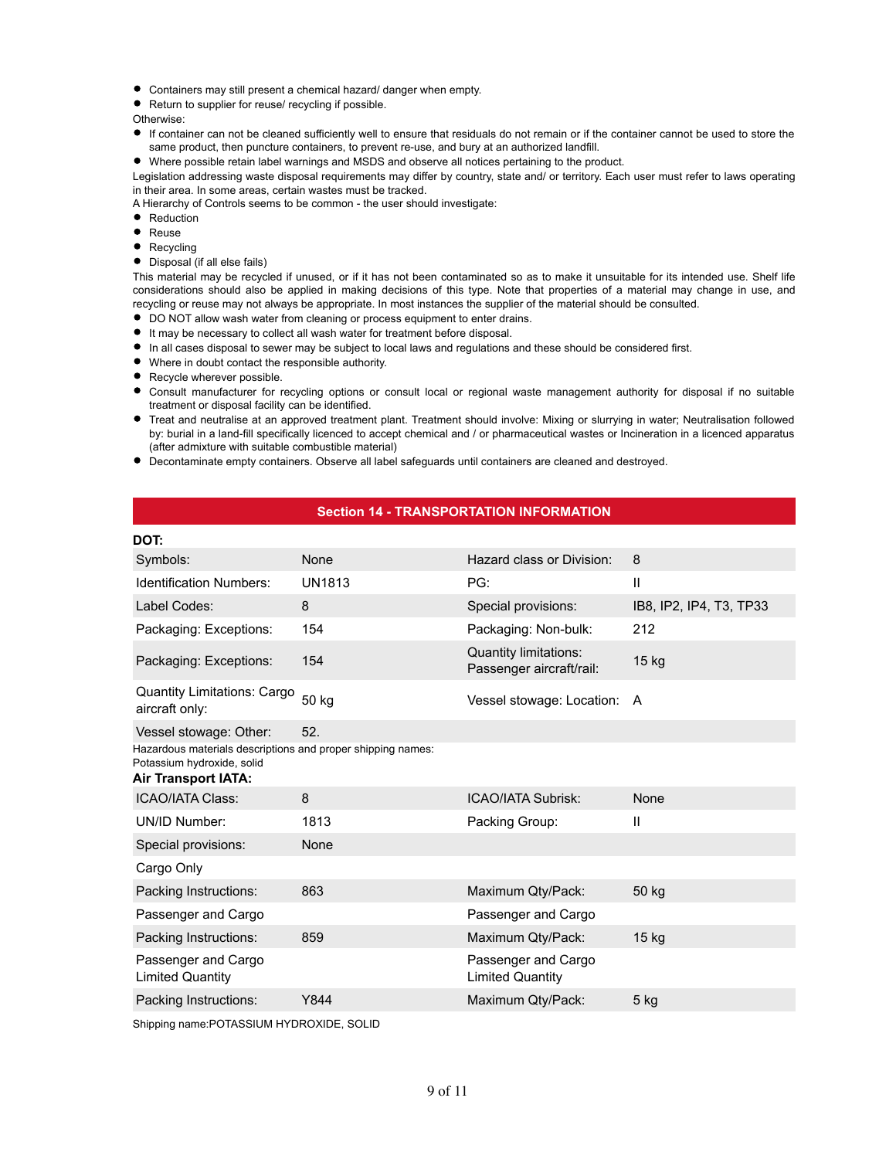- Containers may still present a chemical hazard/ danger when empty.
- Return to supplier for reuse/ recycling if possible.

Otherwise:

If container can not be cleaned sufficiently well to ensure that residuals do not remain or if the container cannot be used to store the same product, then puncture containers, to prevent re-use, and bury at an authorized landfill.

Where possible retain label warnings and MSDS and observe all notices pertaining to the product.

Legislation addressing waste disposal requirements may differ by country, state and/ or territory. Each user must refer to laws operating in their area. In some areas, certain wastes must be tracked.

A Hierarchy of Controls seems to be common - the user should investigate:

- Reduction  $\bullet$
- $\bullet$ Reuse
- $\bullet$ Recycling
- Disposal (if all else fails)

This material may be recycled if unused, or if it has not been contaminated so as to make it unsuitable for its intended use. Shelf life considerations should also be applied in making decisions of this type. Note that properties of a material may change in use, and recycling or reuse may not always be appropriate. In most instances the supplier of the material should be consulted.

- $\bullet$  DO NOT allow wash water from cleaning or process equipment to enter drains.
- It may be necessary to collect all wash water for treatment before disposal.
- In all cases disposal to sewer may be subject to local laws and regulations and these should be considered first.
- Where in doubt contact the responsible authority.
- **Recycle wherever possible.**
- Consult manufacturer for recycling options or consult local or regional waste management authority for disposal if no suitable treatment or disposal facility can be identified.
- Treat and neutralise at an approved treatment plant. Treatment should involve: Mixing or slurrying in water; Neutralisation followed by: burial in a land-fill specifically licenced to accept chemical and / or pharmaceutical wastes or Incineration in a licenced apparatus (after admixture with suitable combustible material)
- Decontaminate empty containers. Observe all label safeguards until containers are cleaned and destroyed.

# **Section 14 - TRANSPORTATION INFORMATION**

| DOT:                                                                                                                    |               |                                                          |                         |
|-------------------------------------------------------------------------------------------------------------------------|---------------|----------------------------------------------------------|-------------------------|
| Symbols:                                                                                                                | None          | Hazard class or Division:                                | 8                       |
| <b>Identification Numbers:</b>                                                                                          | <b>UN1813</b> | PG:                                                      | $\mathbf{I}$            |
| Label Codes:                                                                                                            | 8             | Special provisions:                                      | IB8, IP2, IP4, T3, TP33 |
| Packaging: Exceptions:                                                                                                  | 154           | Packaging: Non-bulk:                                     | 212                     |
| Packaging: Exceptions:                                                                                                  | 154           | <b>Quantity limitations:</b><br>Passenger aircraft/rail: | 15 kg                   |
| Quantity Limitations: Cargo<br>aircraft only:                                                                           | 50 kg         | Vessel stowage: Location: A                              |                         |
| Vessel stowage: Other:                                                                                                  | 52.           |                                                          |                         |
| Hazardous materials descriptions and proper shipping names:<br>Potassium hydroxide, solid<br><b>Air Transport IATA:</b> |               |                                                          |                         |
| <b>ICAO/IATA Class:</b>                                                                                                 | 8             | <b>ICAO/IATA Subrisk:</b>                                | None                    |
| UN/ID Number:                                                                                                           | 1813          | Packing Group:                                           | $\mathbf{I}$            |
| Special provisions:                                                                                                     | None          |                                                          |                         |
| Cargo Only                                                                                                              |               |                                                          |                         |
| Packing Instructions:                                                                                                   | 863           | Maximum Qty/Pack:                                        | 50 kg                   |
| Passenger and Cargo                                                                                                     |               | Passenger and Cargo                                      |                         |
| Packing Instructions:                                                                                                   | 859           | Maximum Qty/Pack:                                        | 15 <sub>kg</sub>        |
| Passenger and Cargo<br><b>Limited Quantity</b>                                                                          |               | Passenger and Cargo<br><b>Limited Quantity</b>           |                         |
| Packing Instructions:                                                                                                   | Y844          | Maximum Qty/Pack:                                        | 5 kg                    |

Shipping name:POTASSIUM HYDROXIDE, SOLID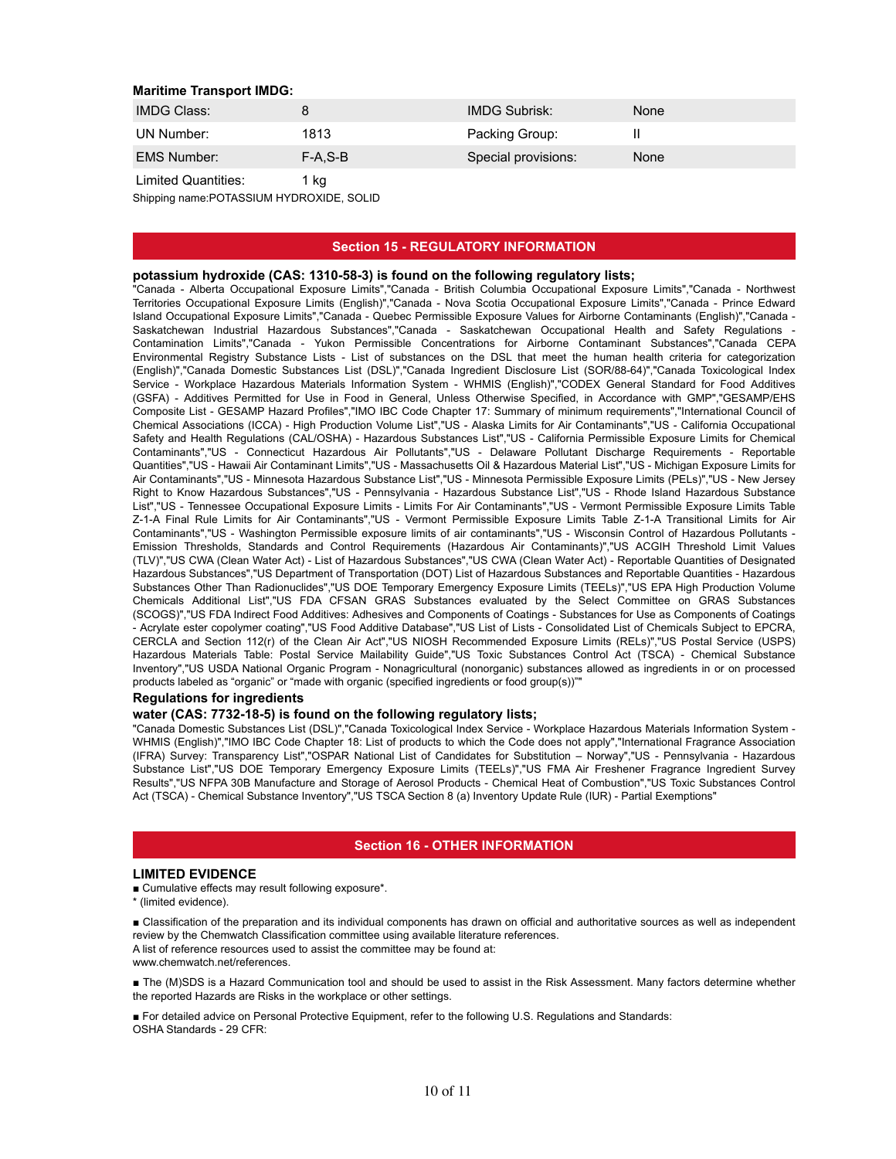#### **Maritime Transport IMDG:**

| <b>IMDG Class:</b>         |           | <b>IMDG Subrisk:</b> | <b>None</b> |
|----------------------------|-----------|----------------------|-------------|
| UN Number:                 | 1813      | Packing Group:       |             |
| <b>EMS Number:</b>         | $F-A.S-B$ | Special provisions:  | None        |
| <b>Limited Quantities:</b> | 1 ka      |                      |             |

Shipping name:POTASSIUM HYDROXIDE, SOLID

# **Section 15 - REGULATORY INFORMATION**

#### **potassium hydroxide (CAS: 1310-58-3) is found on the following regulatory lists;**

"Canada - Alberta Occupational Exposure Limits","Canada - British Columbia Occupational Exposure Limits","Canada - Northwest Territories Occupational Exposure Limits (English)","Canada - Nova Scotia Occupational Exposure Limits","Canada - Prince Edward Island Occupational Exposure Limits","Canada - Quebec Permissible Exposure Values for Airborne Contaminants (English)","Canada - Saskatchewan Industrial Hazardous Substances","Canada - Saskatchewan Occupational Health and Safety Regulations - Contamination Limits","Canada - Yukon Permissible Concentrations for Airborne Contaminant Substances","Canada CEPA Environmental Registry Substance Lists - List of substances on the DSL that meet the human health criteria for categorization (English)","Canada Domestic Substances List (DSL)","Canada Ingredient Disclosure List (SOR/88-64)","Canada Toxicological Index Service - Workplace Hazardous Materials Information System - WHMIS (English)","CODEX General Standard for Food Additives (GSFA) - Additives Permitted for Use in Food in General, Unless Otherwise Specified, in Accordance with GMP","GESAMP/EHS Composite List - GESAMP Hazard Profiles","IMO IBC Code Chapter 17: Summary of minimum requirements","International Council of Chemical Associations (ICCA) - High Production Volume List","US - Alaska Limits for Air Contaminants","US - California Occupational Safety and Health Regulations (CAL/OSHA) - Hazardous Substances List","US - California Permissible Exposure Limits for Chemical Contaminants","US - Connecticut Hazardous Air Pollutants","US - Delaware Pollutant Discharge Requirements - Reportable Quantities","US - Hawaii Air Contaminant Limits","US - Massachusetts Oil & Hazardous Material List","US - Michigan Exposure Limits for Air Contaminants","US - Minnesota Hazardous Substance List","US - Minnesota Permissible Exposure Limits (PELs)","US - New Jersey Right to Know Hazardous Substances","US - Pennsylvania - Hazardous Substance List","US - Rhode Island Hazardous Substance List","US - Tennessee Occupational Exposure Limits - Limits For Air Contaminants","US - Vermont Permissible Exposure Limits Table Z-1-A Final Rule Limits for Air Contaminants","US - Vermont Permissible Exposure Limits Table Z-1-A Transitional Limits for Air Contaminants","US - Washington Permissible exposure limits of air contaminants","US - Wisconsin Control of Hazardous Pollutants - Emission Thresholds, Standards and Control Requirements (Hazardous Air Contaminants)","US ACGIH Threshold Limit Values (TLV)","US CWA (Clean Water Act) - List of Hazardous Substances","US CWA (Clean Water Act) - Reportable Quantities of Designated Hazardous Substances","US Department of Transportation (DOT) List of Hazardous Substances and Reportable Quantities - Hazardous Substances Other Than Radionuclides","US DOE Temporary Emergency Exposure Limits (TEELs)","US EPA High Production Volume Chemicals Additional List","US FDA CFSAN GRAS Substances evaluated by the Select Committee on GRAS Substances (SCOGS)","US FDA Indirect Food Additives: Adhesives and Components of Coatings - Substances for Use as Components of Coatings - Acrylate ester copolymer coating","US Food Additive Database","US List of Lists - Consolidated List of Chemicals Subject to EPCRA, CERCLA and Section 112(r) of the Clean Air Act","US NIOSH Recommended Exposure Limits (RELs)","US Postal Service (USPS) Hazardous Materials Table: Postal Service Mailability Guide","US Toxic Substances Control Act (TSCA) - Chemical Substance Inventory","US USDA National Organic Program - Nonagricultural (nonorganic) substances allowed as ingredients in or on processed products labeled as "organic" or "made with organic (specified ingredients or food group(s))""

#### **Regulations for ingredients**

#### **water (CAS: 7732-18-5) is found on the following regulatory lists;**

"Canada Domestic Substances List (DSL)","Canada Toxicological Index Service - Workplace Hazardous Materials Information System - WHMIS (English)","IMO IBC Code Chapter 18: List of products to which the Code does not apply","International Fragrance Association (IFRA) Survey: Transparency List","OSPAR National List of Candidates for Substitution – Norway","US - Pennsylvania - Hazardous Substance List","US DOE Temporary Emergency Exposure Limits (TEELs)","US FMA Air Freshener Fragrance Ingredient Survey Results","US NFPA 30B Manufacture and Storage of Aerosol Products - Chemical Heat of Combustion","US Toxic Substances Control Act (TSCA) - Chemical Substance Inventory","US TSCA Section 8 (a) Inventory Update Rule (IUR) - Partial Exemptions"

# **Section 16 - OTHER INFORMATION**

#### **LIMITED EVIDENCE**

- Cumulative effects may result following exposure\*.
- \* (limited evidence).

■ Classification of the preparation and its individual components has drawn on official and authoritative sources as well as independent review by the Chemwatch Classification committee using available literature references. A list of reference resources used to assist the committee may be found at:

www.chemwatch.net/references.

■ The (M)SDS is a Hazard Communication tool and should be used to assist in the Risk Assessment. Many factors determine whether the reported Hazards are Risks in the workplace or other settings.

■ For detailed advice on Personal Protective Equipment, refer to the following U.S. Regulations and Standards: OSHA Standards - 29 CFR: